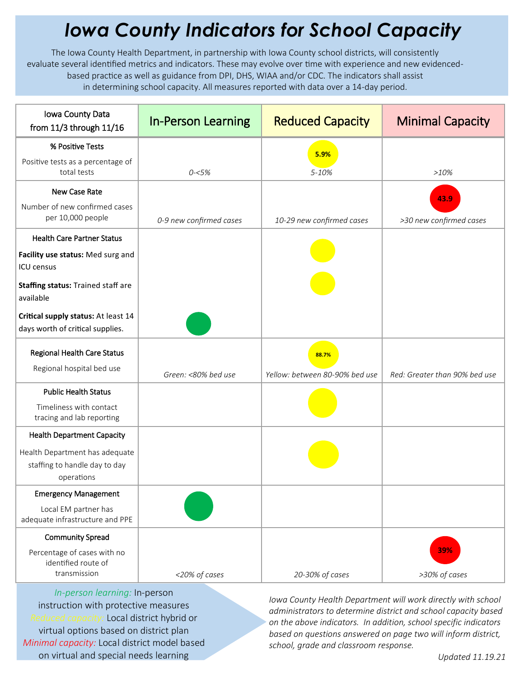## *Iowa County Indicators for School Capacity*

The Iowa County Health Department, in partnership with Iowa County school districts, will consistently evaluate several identified metrics and indicators. These may evolve over time with experience and new evidencedbased practice as well as guidance from DPI, DHS, WIAA and/or CDC. The indicators shall assist in determining school capacity. All measures reported with data over a 14-day period.

| Iowa County Data<br>from 11/3 through 11/16                                         | <b>In-Person Learning</b> | <b>Reduced Capacity</b>                 | <b>Minimal Capacity</b>       |
|-------------------------------------------------------------------------------------|---------------------------|-----------------------------------------|-------------------------------|
| % Positive Tests                                                                    |                           | 5.9%                                    |                               |
| Positive tests as a percentage of<br>total tests                                    | $0 - 5%$                  | 5-10%                                   | >10%                          |
| New Case Rate                                                                       |                           |                                         | 43.9                          |
| Number of new confirmed cases<br>per 10,000 people                                  | 0-9 new confirmed cases   | 10-29 new confirmed cases               | >30 new confirmed cases       |
| <b>Health Care Partner Status</b>                                                   |                           |                                         |                               |
| Facility use status: Med surg and<br><b>ICU</b> census                              |                           |                                         |                               |
| Staffing status: Trained staff are<br>available                                     |                           |                                         |                               |
| Critical supply status: At least 14<br>days worth of critical supplies.             |                           |                                         |                               |
| Regional Health Care Status<br>Regional hospital bed use                            | Green: <80% bed use       | 88.7%<br>Yellow: between 80-90% bed use | Red: Greater than 90% bed use |
| <b>Public Health Status</b><br>Timeliness with contact<br>tracing and lab reporting |                           |                                         |                               |
| <b>Health Department Capacity</b>                                                   |                           |                                         |                               |
| Health Department has adequate<br>staffing to handle day to day<br>operations       |                           |                                         |                               |
| <b>Emergency Management</b>                                                         |                           |                                         |                               |
| Local EM partner has<br>adequate infrastructure and PPE                             |                           |                                         |                               |
| <b>Community Spread</b>                                                             |                           |                                         |                               |
| Percentage of cases with no<br>identified route of<br>transmission                  | <20% of cases             | 20-30% of cases                         | 39%<br>>30% of cases          |

*In-person learning:* In-person instruction with protective measures *Reduced capacity:* Local district hybrid or virtual options based on district plan *Minimal capacity:* Local district model based on virtual and special needs learning

*Iowa County Health Department will work directly with school administrators to determine district and school capacity based on the above indicators. In addition, school specific indicators based on questions answered on page two will inform district, school, grade and classroom response.*